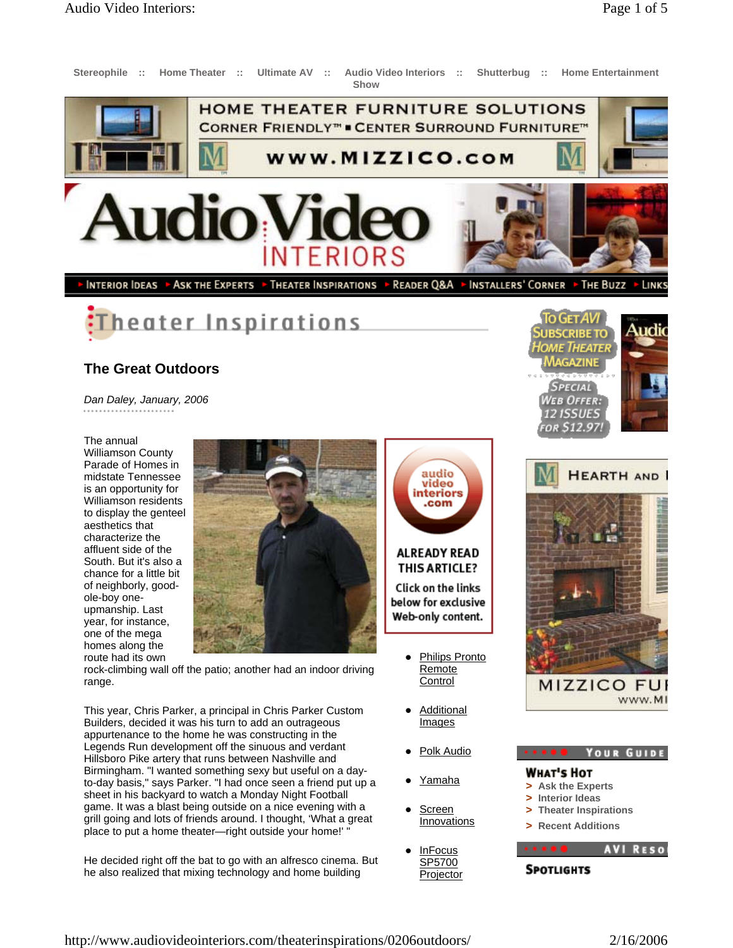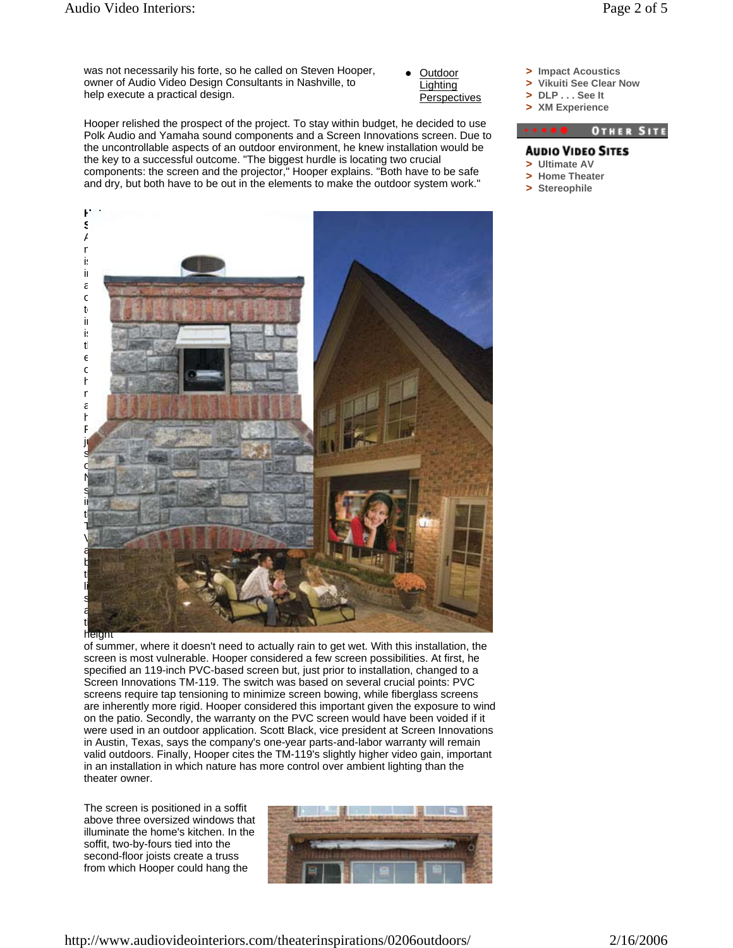**Outdoor Lighting Perspectives** 

Hooper relished the prospect of the project. To stay within budget, he decided to use Polk Audio and Yamaha sound components and a Screen Innovations screen. Due to the uncontrollable aspects of an outdoor environment, he knew installation would be the key to a successful outcome. "The biggest hurdle is locating two crucial components: the screen and the projector," Hooper explains. "Both have to be safe and dry, but both have to be out in the elements to make the outdoor system work."





The screen is positioned in a soffit above three oversized windows that illuminate the home's kitchen. In the soffit, two-by-fours tied into the second-floor joists create a truss from which Hooper could hang the



- **> Impact Acoustics**
- **> Vikuiti See Clear Now**
- **> DLP . . . See It > XM Experience**



## **AUDIO VIDEO SITES**

- **> Ultimate AV > Home Theater**
- 
- **> Stereophile**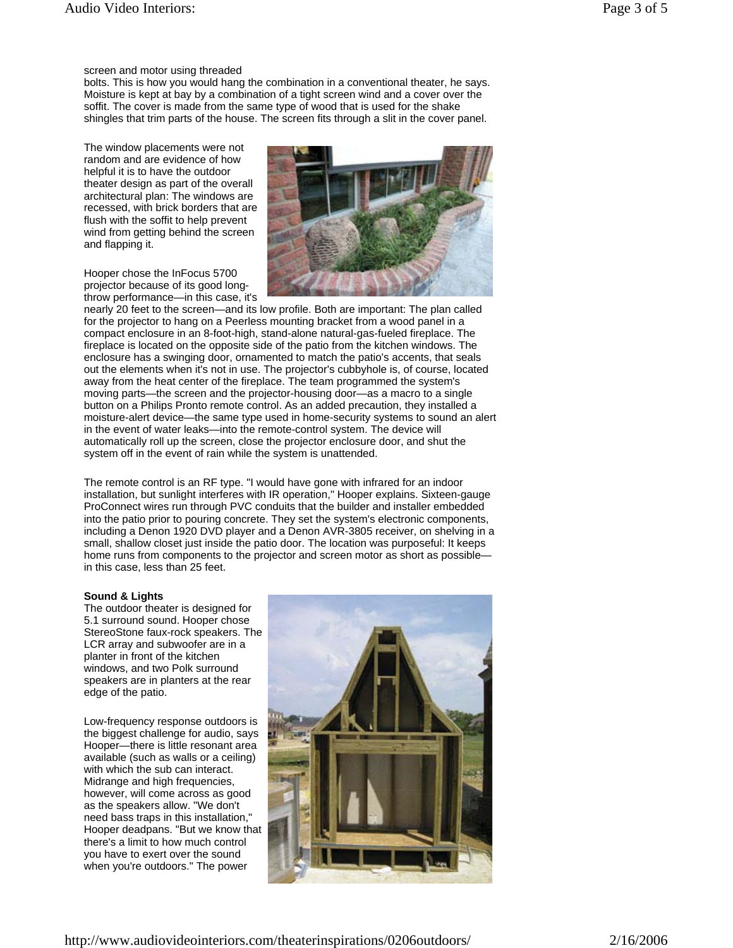## screen and motor using threaded

bolts. This is how you would hang the combination in a conventional theater, he says. Moisture is kept at bay by a combination of a tight screen wind and a cover over the soffit. The cover is made from the same type of wood that is used for the shake shingles that trim parts of the house. The screen fits through a slit in the cover panel.

The window placements were not random and are evidence of how helpful it is to have the outdoor theater design as part of the overall architectural plan: The windows are recessed, with brick borders that are flush with the soffit to help prevent wind from getting behind the screen and flapping it.

Hooper chose the InFocus 5700 projector because of its good longthrow performance—in this case, it's



nearly 20 feet to the screen—and its low profile. Both are important: The plan called for the projector to hang on a Peerless mounting bracket from a wood panel in a compact enclosure in an 8-foot-high, stand-alone natural-gas-fueled fireplace. The fireplace is located on the opposite side of the patio from the kitchen windows. The enclosure has a swinging door, ornamented to match the patio's accents, that seals out the elements when it's not in use. The projector's cubbyhole is, of course, located away from the heat center of the fireplace. The team programmed the system's moving parts—the screen and the projector-housing door—as a macro to a single button on a Philips Pronto remote control. As an added precaution, they installed a moisture-alert device—the same type used in home-security systems to sound an alert in the event of water leaks—into the remote-control system. The device will automatically roll up the screen, close the projector enclosure door, and shut the system off in the event of rain while the system is unattended.

The remote control is an RF type. "I would have gone with infrared for an indoor installation, but sunlight interferes with IR operation," Hooper explains. Sixteen-gauge ProConnect wires run through PVC conduits that the builder and installer embedded into the patio prior to pouring concrete. They set the system's electronic components, including a Denon 1920 DVD player and a Denon AVR-3805 receiver, on shelving in a small, shallow closet just inside the patio door. The location was purposeful: It keeps home runs from components to the projector and screen motor as short as possible in this case, less than 25 feet.

## **Sound & Lights**

The outdoor theater is designed for 5.1 surround sound. Hooper chose StereoStone faux-rock speakers. The LCR array and subwoofer are in a planter in front of the kitchen windows, and two Polk surround speakers are in planters at the rear edge of the patio.

Low-frequency response outdoors is the biggest challenge for audio, says Hooper—there is little resonant area available (such as walls or a ceiling) with which the sub can interact. Midrange and high frequencies, however, will come across as good as the speakers allow. "We don't need bass traps in this installation," Hooper deadpans. "But we know that there's a limit to how much control you have to exert over the sound when you're outdoors." The power

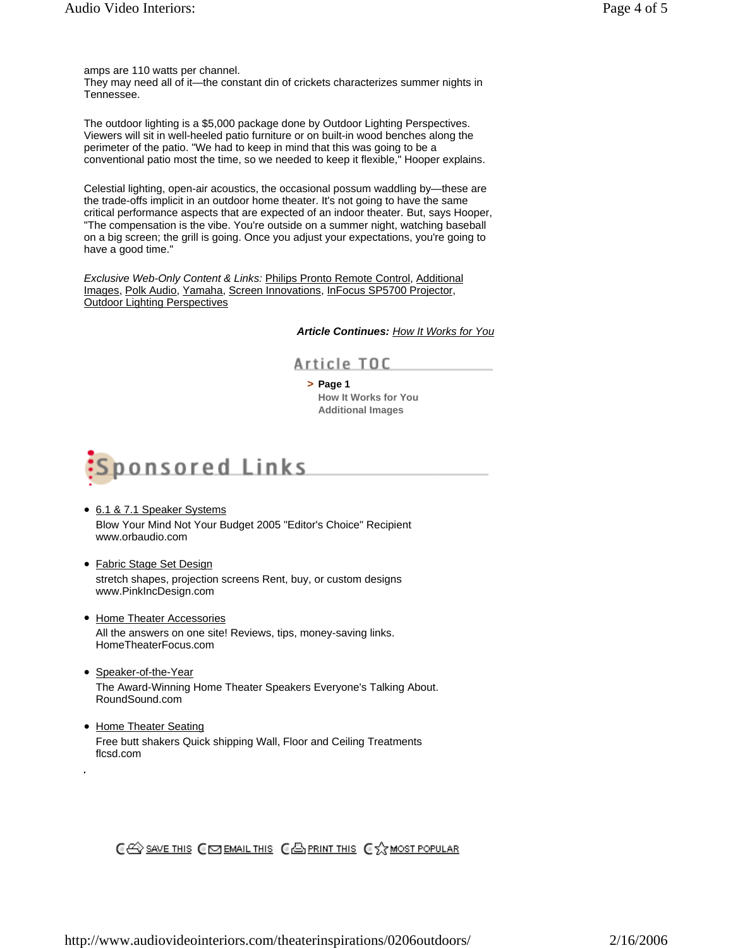They may need all of it—the constant din of crickets characterizes summer nights in Tennessee.

The outdoor lighting is a \$5,000 package done by Outdoor Lighting Perspectives. Viewers will sit in well-heeled patio furniture or on built-in wood benches along the perimeter of the patio. "We had to keep in mind that this was going to be a conventional patio most the time, so we needed to keep it flexible," Hooper explains.

Celestial lighting, open-air acoustics, the occasional possum waddling by—these are the trade-offs implicit in an outdoor home theater. It's not going to have the same critical performance aspects that are expected of an indoor theater. But, says Hooper, "The compensation is the vibe. You're outside on a summer night, watching baseball on a big screen; the grill is going. Once you adjust your expectations, you're going to have a good time."

*Exclusive Web-Only Content & Links:* Philips Pronto Remote Control, Additional Images, Polk Audio, Yamaha, Screen Innovations, InFocus SP5700 Projector, Outdoor Lighting Perspectives

*Article Continues: How It Works for You*

Article TOC

**> Page 1 How It Works for You**

**Additional Images**



- 6.1 & 7.1 Speaker Systems Blow Your Mind Not Your Budget 2005 "Editor's Choice" Recipient www.orbaudio.com
- Fabric Stage Set Design stretch shapes, projection screens Rent, buy, or custom designs www.PinkIncDesign.com
- Home Theater Accessories All the answers on one site! Reviews, tips, money-saving links. HomeTheaterFocus.com
- Speaker-of-the-Year The Award-Winning Home Theater Speakers Everyone's Talking About. RoundSound.com
- Home Theater Seating Free butt shakers Quick shipping Wall, Floor and Ceiling Treatments flcsd.com

CES SAVE THIS CES EMAIL THIS CES PRINT THIS CX MOST POPULAR